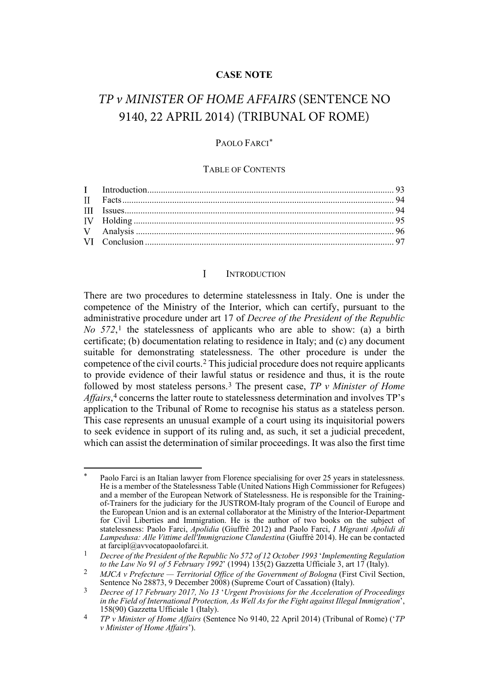## **CASE NOTE**

# *TP v MINISTER OF HOME AFFAIRS* (SENTENCE NO 9140, 22 APRIL 2014) (TRIBUNAL OF ROME)

### PAOLO FARCI[\\*](#page-0-1)

### TABLE OF CONTENTS

#### $\mathbf{I}$ **INTRODUCTION**

<span id="page-0-0"></span>There are two procedures to determine statelessness in Italy. One is under the competence of the Ministry of the Interior, which can certify, pursuant to the administrative procedure under art 17 of *Decree of the President of the Republic No*  $572<sup>1</sup>$  $572<sup>1</sup>$  $572<sup>1</sup>$  the statelessness of applicants who are able to show: (a) a birth certificate; (b) documentation relating to residence in Italy; and (c) any document suitable for demonstrating statelessness. The other procedure is under the competence of the civil courts.[2](#page-0-3) This judicial procedure does not require applicants to provide evidence of their lawful status or residence and thus, it is the route followed by most stateless persons.[3](#page-0-4) The present case, *TP v Minister of Home Affairs*,[4](#page-0-5) concerns the latter route to statelessness determination and involves TP's application to the Tribunal of Rome to recognise his status as a stateless person. This case represents an unusual example of a court using its inquisitorial powers to seek evidence in support of its ruling and, as such, it set a judicial precedent, which can assist the determination of similar proceedings. It was also the first time

<span id="page-0-6"></span><span id="page-0-1"></span>Paolo Farci is an Italian lawyer from Florence specialising for over 25 years in statelessness. He is a member of the Statelessness Table (United Nations High Commissioner for Refugees) and a member of the European Network of Statelessness. He is responsible for the Trainingof-Trainers for the judiciary for the JUSTROM-Italy program of the Council of Europe and the European Union and is an external collaborator at the Ministry of the Interior-Department for Civil Liberties and Immigration. He is the author of two books on the subject of statelessness: Paolo Farci, *Apolidia* (Giuffrè 2012) and Paolo Farci, *I Migranti Apolidi di Lampedusa: Alle Vittime dell'Immigrazione Clandestina* (Giuffrè 2014). He can be contacted at farcipl@avvocatopaolofarci.it.

<span id="page-0-2"></span><sup>1</sup> *Decree of the President of the Republic No 572 of 12 October 1993* '*Implementing Regulation to the Law No 91 of 5 February 1992*' (1994) 135(2) Gazzetta Ufficiale 3, art 17 (Italy).

<span id="page-0-3"></span><sup>&</sup>lt;sup>2</sup> *MJCA v Prefecture* — *Territorial Office of the Government of Bologna* (First Civil Section, Sentence No 28873, 9 December 2008) (Supreme Court of Cassation) (Italy).

<span id="page-0-4"></span>Sentence No 28873, 9 December 2008) (Supreme Court of Cassation) (Italy). 3 *Decree of 17 February 2017, No 13* '*Urgent Provisions for the Acceleration of Proceedings in the Field of International Protection, As Well As for the Fight against Illegal Immigration*', 158(90) Gazzetta Ufficiale 1 (Italy).

<span id="page-0-5"></span><sup>4</sup> *TP v Minister of Home Affairs* (Sentence No 9140, 22 April 2014) (Tribunal of Rome) ('*TP v Minister of Home Affairs*').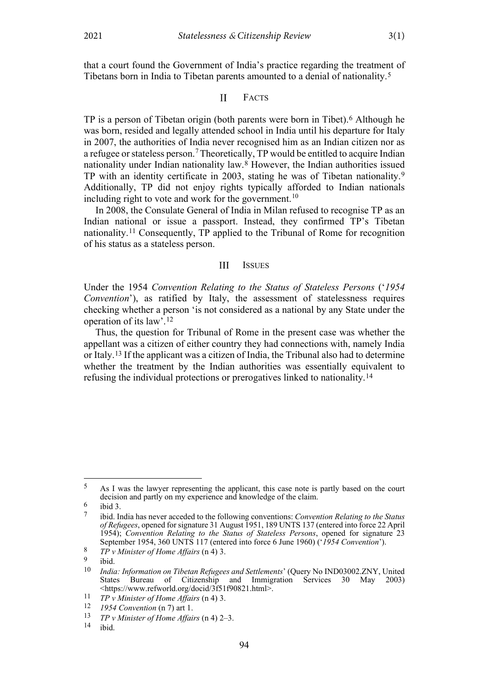<span id="page-1-0"></span>that a court found the Government of India's practice regarding the treatment of Tibetans born in India to Tibetan parents amounted to a denial of nationality.[5](#page-1-3)

#### <span id="page-1-2"></span> $\mathbf{H}$ FACTS

TP is a person of Tibetan origin (both parents were born in Tibet).[6](#page-1-4) Although he was born, resided and legally attended school in India until his departure for Italy in 2007, the authorities of India never recognised him as an Indian citizen nor as a refugee or stateless person.<sup>[7](#page-1-5)</sup> Theoretically, TP would be entitled to acquire Indian nationality under Indian nationality law.[8](#page-1-6) However, the Indian authorities issued TP with an identity certificate in 2003, stating he was of Tibetan nationality.[9](#page-1-7)  Additionally, TP did not enjoy rights typically afforded to Indian nationals including right to vote and work for the government.<sup>[10](#page-1-8)</sup>

In 2008, the Consulate General of India in Milan refused to recognise TP as an Indian national or issue a passport. Instead, they confirmed TP's Tibetan nationality.[11](#page-1-9) Consequently, TP applied to the Tribunal of Rome for recognition of his status as a stateless person.

#### $III$ **ISSUES**

<span id="page-1-1"></span>Under the 1954 *Convention Relating to the Status of Stateless Persons* ('*1954 Convention*'), as ratified by Italy, the assessment of statelessness requires checking whether a person 'is not considered as a national by any State under the operation of its law'.[12](#page-1-10)

Thus, the question for Tribunal of Rome in the present case was whether the appellant was a citizen of either country they had connections with, namely India or Italy.[13](#page-1-11) If the applicant was a citizen of India, the Tribunal also had to determine whether the treatment by the Indian authorities was essentially equivalent to refusing the individual protections or prerogatives linked to nationality.[14](#page-1-12)

<span id="page-1-3"></span><sup>5</sup> As I was the lawyer representing the applicant, this case note is partly based on the court decision and partly on my experience and knowledge of the claim.

<span id="page-1-4"></span> $rac{6}{7}$  ibid 3.

<span id="page-1-5"></span><sup>7</sup> ibid. India has never acceded to the following conventions: *Convention Relating to the Status of Refugees*, opened for signature 31 August 1951, 189 UNTS 137 (entered into force 22 April 1954); *Convention Relating to the Status of Stateless Persons*, opened for signature 23 September 1954, 360 UNTS 117 (entered into force 6 June 1960) ('*1954 Convention*').

<span id="page-1-7"></span><span id="page-1-6"></span><sup>8</sup> *TP v Minister of Home Affairs* ([n 4\)](#page-0-6) 3.

 $\frac{9}{10}$  ibid.

<span id="page-1-8"></span>India: Information on Tibetan Refugees and Settlements' (Query No IND03002.ZNY, United States Bureau of Citizenship and Immigration Services 30 May 2003) <https://www.refworld.org/docid/3f51f90821.html>.

<span id="page-1-9"></span><sup>&</sup>lt;sup>11</sup> *TP v Minister of Home Affairs* ([n 4\)](#page-0-6) 3.<br><sup>12</sup> *1054 Convention* (n 7) ort <sup>1</sup>

<span id="page-1-11"></span><span id="page-1-10"></span><sup>12</sup> *1954 Convention* (n [7\)](#page-1-2) art 1.

<span id="page-1-12"></span><sup>13</sup> *TP v Minister of Home Affairs* ([n 4\)](#page-0-6) 2–3.

ibid.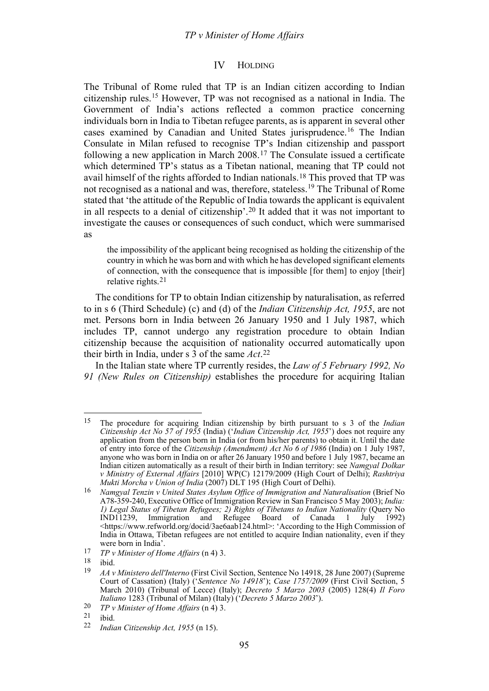### *TP v Minister of Home Affairs*

#### <span id="page-2-10"></span>IV **HOLDING**

<span id="page-2-1"></span><span id="page-2-0"></span>The Tribunal of Rome ruled that TP is an Indian citizen according to Indian citizenship rules. [15](#page-2-2) However, TP was not recognised as a national in India. The Government of India's actions reflected a common practice concerning individuals born in India to Tibetan refugee parents, as is apparent in several other cases examined by Canadian and United States jurisprudence.<sup>[16](#page-2-3)</sup> The Indian Consulate in Milan refused to recognise TP's Indian citizenship and passport following a new application in March 2008.[17](#page-2-4) The Consulate issued a certificate which determined TP's status as a Tibetan national, meaning that TP could not avail himself of the rights afforded to Indian nationals.[18](#page-2-5) This proved that TP was not recognised as a national and was, therefore, stateless.[19](#page-2-6) The Tribunal of Rome stated that 'the attitude of the Republic of India towards the applicant is equivalent in all respects to a denial of citizenship'.[20](#page-2-7) It added that it was not important to investigate the causes or consequences of such conduct, which were summarised as

the impossibility of the applicant being recognised as holding the citizenship of the country in which he was born and with which he has developed significant elements of connection, with the consequence that is impossible [for them] to enjoy [their] relative rights.[21](#page-2-8)

The conditions for TP to obtain Indian citizenship by naturalisation, as referred to in s 6 (Third Schedule) (c) and (d) of the *Indian Citizenship Act, 1955*, are not met. Persons born in India between 26 January 1950 and 1 July 1987, which includes TP, cannot undergo any registration procedure to obtain Indian citizenship because the acquisition of nationality occurred automatically upon their birth in India, under s 3 of the same *Act*[.22](#page-2-9)

In the Italian state where TP currently resides, the *Law of 5 February 1992, No 91 (New Rules on Citizenship)* establishes the procedure for acquiring Italian

<span id="page-2-2"></span><sup>15</sup> The procedure for acquiring Indian citizenship by birth pursuant to s 3 of the *Indian Citizenship Act No 57 of 1955* (India) ('*Indian Citizenship Act, 1955*') does not require any application from the person born in India (or from his/her parents) to obtain it. Until the date of entry into force of the *Citizenship (Amendment) Act No 6 of 1986* (India) on 1 July 1987, anyone who was born in India on or after 26 January 1950 and before 1 July 1987, became an Indian citizen automatically as a result of their birth in Indian territory: see *Namgyal Dolkar v Ministry of External Affairs* [2010] WP(C) 12179/2009 (High Court of Delhi); *Rashtriya Mukti Morcha v Union of India* (2007) DLT 195 (High Court of Delhi).

<span id="page-2-3"></span><sup>&</sup>lt;sup>16</sup> Namgyal Tenzin v United States Asylum Office of Immigration and Naturalisation (Brief No A78-359-240, Executive Office of Immigration Review in San Francisco 5 May 2003); *India: 1) Legal Status of Tibetan Refugees; 2) Rights of Tibetans to Indian Nationality* (Query No *IND11239. Immigration and Refugee Board of Canada 1 July 1992)* IND11239, Immigration and Refugee Board of Canada 1 July <https://www.refworld.org/docid/3ae6aab124.html>: 'According to the High Commission of India in Ottawa, Tibetan refugees are not entitled to acquire Indian nationality, even if they were born in India'.

<span id="page-2-4"></span><sup>17</sup> *TP v Minister of Home Affairs* ([n 4\)](#page-0-6) 3.

<span id="page-2-5"></span> $\frac{18}{19}$  ibid.

<span id="page-2-6"></span><sup>19</sup> *AA v Ministero dell'Interno* (First Civil Section, Sentence No 14918, 28 June 2007) (Supreme Court of Cassation) (Italy) ('*Sentence No 14918*'); *Case 1757/2009* (First Civil Section, 5 March 2010) (Tribunal of Lecce) (Italy); *Decreto 5 Marzo 2003* (2005) 128(4) *Il Foro Italiano* 1283 (Tribunal of Milan) (Italy) ('*Decreto 5 Marzo 2003*'). 20 *TP v Minister of Home Affairs* ([n 4\)](#page-0-6) 3.

<span id="page-2-8"></span><span id="page-2-7"></span> $\frac{21}{22}$  ibid.

<span id="page-2-9"></span><sup>22</sup> *Indian Citizenship Act, 1955* ([n 15\)](#page-2-1).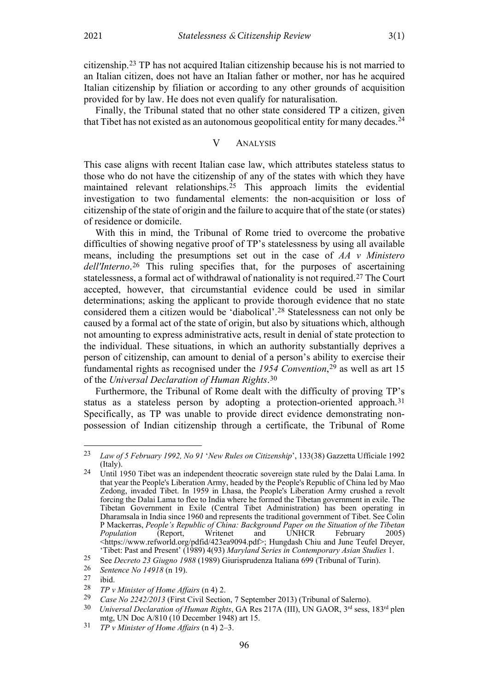citizenship.[23](#page-3-1) TP has not acquired Italian citizenship because his is not married to an Italian citizen, does not have an Italian father or mother, nor has he acquired Italian citizenship by filiation or according to any other grounds of acquisition provided for by law. He does not even qualify for naturalisation.

<span id="page-3-0"></span>Finally, the Tribunal stated that no other state considered TP a citizen, given that Tibet has not existed as an autonomous geopolitical entity for many decades.<sup>[24](#page-3-2)</sup>

#### $\overline{V}$ ANALYSIS

This case aligns with recent Italian case law, which attributes stateless status to those who do not have the citizenship of any of the states with which they have maintained relevant relationships.[25](#page-3-3) This approach limits the evidential investigation to two fundamental elements: the non-acquisition or loss of citizenship of the state of origin and the failure to acquire that of the state (or states) of residence or domicile.

With this in mind, the Tribunal of Rome tried to overcome the probative difficulties of showing negative proof of TP's statelessness by using all available means, including the presumptions set out in the case of *AA v Ministero dell'Interno*.[26](#page-3-4) This ruling specifies that, for the purposes of ascertaining statelessness, a formal act of withdrawal of nationality is not required.[27](#page-3-5) The Court accepted, however, that circumstantial evidence could be used in similar determinations; asking the applicant to provide thorough evidence that no state considered them a citizen would be 'diabolical'.[28](#page-3-6) Statelessness can not only be caused by a formal act of the state of origin, but also by situations which, although not amounting to express administrative acts, result in denial of state protection to the individual. These situations, in which an authority substantially deprives a person of citizenship, can amount to denial of a person's ability to exercise their fundamental rights as recognised under the *1954 Convention*,[29](#page-3-7) as well as art 15 of the *Universal Declaration of Human Rights*.[30](#page-3-8)

Furthermore, the Tribunal of Rome dealt with the difficulty of proving TP's status as a stateless person by adopting a protection-oriented approach.<sup>[31](#page-3-9)</sup> Specifically, as TP was unable to provide direct evidence demonstrating nonpossession of Indian citizenship through a certificate, the Tribunal of Rome

<span id="page-3-1"></span><sup>23</sup> *Law of 5 February 1992, No 91* '*New Rules on Citizenship*', 133(38) Gazzetta Ufficiale 1992 (Italy).

<span id="page-3-2"></span><sup>&</sup>lt;sup>24</sup> Until 1950 Tibet was an independent theocratic sovereign state ruled by the Dalai Lama. In that year the People's Liberation Army, headed by the People's Republic of China led by Mao Zedong, invaded Tibet. In 1959 in Lhasa, the People's Liberation Army crushed a revolt forcing the Dalai Lama to flee to India where he formed the Tibetan government in exile. The Tibetan Government in Exile (Central Tibet Administration) has been operating in Dharamsala in India since 1960 and represents the traditional government of Tibet. See Colin P Mackerras, *People's Republic of China: Background Paper on the Situation of the Tibetan Population* (Report, Writenet and UNHCR February 2005) *Population* (Report, Writenet and UNHCR February 2005) <https://www.refworld.org/pdfid/423ea9094.pdf>; Hungdash Chiu and June Teufel Dreyer, 'Tibet: Past and Present' (1989) 4(93) *Maryland Series in Contemporary Asian Studies* 1.

<span id="page-3-3"></span><sup>25</sup> See *Decreto 23 Giugno 1988* (1989) Giurisprudenza Italiana 699 (Tribunal of Turin).

<span id="page-3-4"></span><sup>26</sup> *Sentence No 14918* (n [19\)](#page-2-10).

<span id="page-3-5"></span> $rac{27}{28}$  ibid.

<span id="page-3-6"></span><sup>28</sup> *TP v Minister of Home Affairs* ([n 4\)](#page-0-6) 2.

<span id="page-3-8"></span><span id="page-3-7"></span><sup>&</sup>lt;sup>29</sup> *Case No 2242/2013* (First Civil Section, 7 September 2013) (Tribunal of Salerno).<br><sup>20</sup> *Universal Declaration of Human Rights* GA Res 217A (JII) UN GAOR <sup>3rd</sup> sess

<sup>30</sup> *Universal Declaration of Human Rights*, GA Res 217A (III), UN GAOR, 3rd sess, 183rd plen mtg, UN Doc  $A/810$  (10 December 1948) art 15.

<span id="page-3-9"></span><sup>31</sup> *TP v Minister of Home Affairs* ([n 4\)](#page-0-6) 2–3.